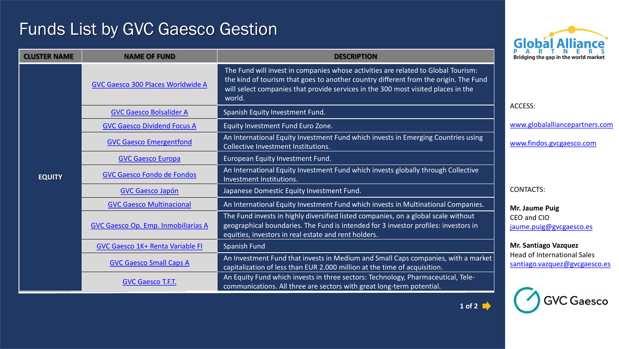## Funds List by GVC Gaesco Gestion



**GVC Gaesco** 

| <b>CLUSTER NAME</b> | <b>NAME OF FUND</b>                 | <b>DESCRIPTION</b>                                                                                                                                                                                                                                                       | AKINEK S<br>Bridging the gap in the world market                                                                                                        |
|---------------------|-------------------------------------|--------------------------------------------------------------------------------------------------------------------------------------------------------------------------------------------------------------------------------------------------------------------------|---------------------------------------------------------------------------------------------------------------------------------------------------------|
| <b>EQUITY</b>       | GVC Gaesco 300 Places Worldwide A   | The Fund will invest in companies whose activities are related to Global Tourism:<br>the kind of tourism that goes to another country different from the origin. The Fund<br>will select companies that provide services in the 300 most visited places in the<br>world. |                                                                                                                                                         |
|                     | <b>GVC Gaesco Bolsalíder A</b>      | Spanish Equity Investment Fund.                                                                                                                                                                                                                                          | ACCESS:                                                                                                                                                 |
|                     | <b>GVC Gaesco Dividend Focus A</b>  | Equity Investment Fund Euro Zone.                                                                                                                                                                                                                                        | www.globalalliancepartners.com                                                                                                                          |
|                     | <b>GVC Gaesco Emergentfond</b>      | An International Equity Investment Fund which invests in Emerging Countries using<br>Collective Investment Institutions.                                                                                                                                                 | www.findos.gvcgaesco.com                                                                                                                                |
|                     | <b>GVC Gaesco Europa</b>            | European Equity Investment Fund.                                                                                                                                                                                                                                         |                                                                                                                                                         |
|                     | <b>GVC Gaesco Fondo de Fondos</b>   | An International Equity Investment Fund which invests globally through Collective<br>Investment Institutions.                                                                                                                                                            |                                                                                                                                                         |
|                     | <b>GVC Gaesco Japón</b>             | Japanese Domestic Equity Investment Fund.                                                                                                                                                                                                                                | <b>CONTACTS:</b>                                                                                                                                        |
|                     | <b>GVC Gaesco Multinacional</b>     | An International Equity Investment Fund which invests in Multinational Companies.                                                                                                                                                                                        | Mr. Jaume Puig<br>CEO and CIO<br>jaume.puig@gvcgaesco.es<br>Mr. Santiago Vazquez<br><b>Head of International Sales</b><br>santiago.vazquez@gvcgaesco.es |
|                     | GVC Gaesco Op. Emp. Inmobiliarias A | The Fund invests in highly diversified listed companies, on a global scale without<br>geographical boundaries. The Fund is intended for 3 investor profiles: investors in<br>equities, investors in real estate and rent holders.                                        |                                                                                                                                                         |
|                     | GVC Gaesco 1K+ Renta Variable FI    | Spanish Fund                                                                                                                                                                                                                                                             |                                                                                                                                                         |
|                     | <b>GVC Gaesco Small Caps A</b>      | An Investment Fund that invests in Medium and Small Caps companies, with a market<br>capitalization of less than EUR 2.000 million at the time of acquisition.                                                                                                           |                                                                                                                                                         |
|                     | <b>GVC Gaesco T.F.T.</b>            | An Equity Fund which invests in three sectors: Technology, Pharmaceutical, Tele-<br>communications. All three are sectors with great long-term potential.                                                                                                                |                                                                                                                                                         |

**1 of 2**